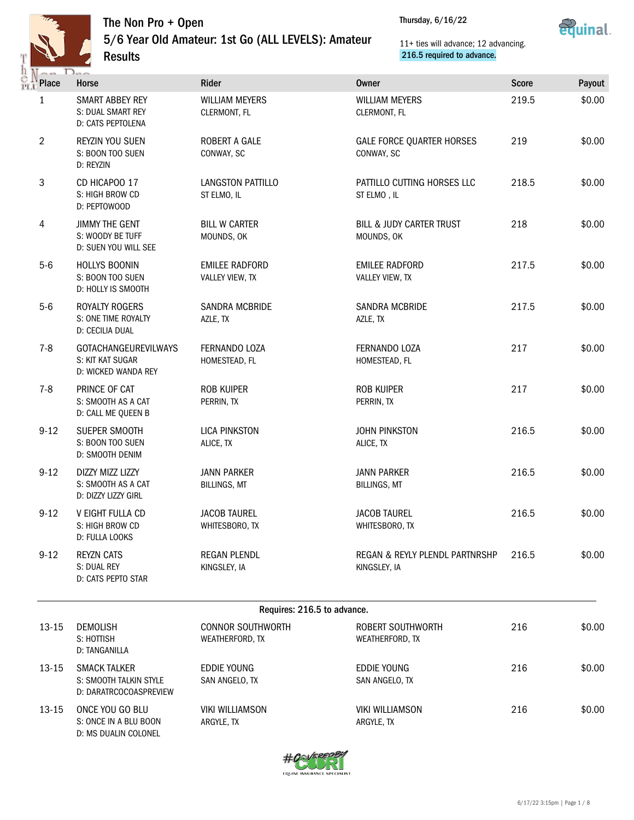

## The Non Pro + Open

5/6 Year Old Amateur: 1st Go (ALL LEVELS): Amateur Results

Thursday, 6/16/22



11+ ties will advance; 12 advancing. 216.5 required to advance.

| <b>CALLA</b>    | $\sum_{n\geq 1}$                                                        |                                             |                                                   |              |        |
|-----------------|-------------------------------------------------------------------------|---------------------------------------------|---------------------------------------------------|--------------|--------|
| <b>TA</b> Place | <b>Horse</b>                                                            | Rider                                       | <b>Owner</b>                                      | <b>Score</b> | Payout |
| 1               | SMART ABBEY REY<br>S: DUAL SMART REY<br>D: CATS PEPTOLENA               | <b>WILLIAM MEYERS</b><br>CLERMONT, FL       | <b>WILLIAM MEYERS</b><br>CLERMONT, FL             | 219.5        | \$0.00 |
| $\overline{2}$  | REYZIN YOU SUEN<br>S: BOON TOO SUEN<br>D: REYZIN                        | ROBERT A GALE<br>CONWAY, SC                 | <b>GALE FORCE QUARTER HORSES</b><br>CONWAY, SC    | 219          | \$0.00 |
| 3               | CD HICAPOO 17<br>S: HIGH BROW CD<br>D: PEPTOWOOD                        | LANGSTON PATTILLO<br>ST ELMO, IL            | PATTILLO CUTTING HORSES LLC<br>ST ELMO, IL        | 218.5        | \$0.00 |
| 4               | <b>JIMMY THE GENT</b><br>S: WOODY BE TUFF<br>D: SUEN YOU WILL SEE       | <b>BILL W CARTER</b><br>MOUNDS, OK          | <b>BILL &amp; JUDY CARTER TRUST</b><br>MOUNDS, OK | 218          | \$0.00 |
| $5-6$           | HOLLYS BOONIN<br>S: BOON TOO SUEN<br>D: HOLLY IS SMOOTH                 | <b>EMILEE RADFORD</b><br>VALLEY VIEW, TX    | <b>EMILEE RADFORD</b><br>VALLEY VIEW, TX          | 217.5        | \$0.00 |
| $5-6$           | ROYALTY ROGERS<br>S: ONE TIME ROYALTY<br>D: CECILIA DUAL                | <b>SANDRA MCBRIDE</b><br>AZLE, TX           | SANDRA MCBRIDE<br>AZLE, TX                        | 217.5        | \$0.00 |
| $7 - 8$         | <b>GOTACHANGEUREVILWAYS</b><br>S: KIT KAT SUGAR<br>D: WICKED WANDA REY  | FERNANDO LOZA<br>HOMESTEAD, FL              | FERNANDO LOZA<br>HOMESTEAD, FL                    | 217          | \$0.00 |
| $7 - 8$         | PRINCE OF CAT<br>S: SMOOTH AS A CAT<br>D: CALL ME QUEEN B               | ROB KUIPER<br>PERRIN, TX                    | <b>ROB KUIPER</b><br>PERRIN, TX                   | 217          | \$0.00 |
| $9 - 12$        | SUEPER SMOOTH<br>S: BOON TOO SUEN<br>D: SMOOTH DENIM                    | <b>LICA PINKSTON</b><br>ALICE, TX           | <b>JOHN PINKSTON</b><br>ALICE, TX                 | 216.5        | \$0.00 |
| $9 - 12$        | DIZZY MIZZ LIZZY<br>S: SMOOTH AS A CAT<br>D: DIZZY LIZZY GIRL           | <b>JANN PARKER</b><br><b>BILLINGS, MT</b>   | <b>JANN PARKER</b><br><b>BILLINGS, MT</b>         | 216.5        | \$0.00 |
| $9 - 12$        | V EIGHT FULLA CD<br>S: HIGH BROW CD<br>D: FULLA LOOKS                   | <b>JACOB TAUREL</b><br>WHITESBORO, TX       | <b>JACOB TAUREL</b><br>WHITESBORO, TX             | 216.5        | \$0.00 |
| $9 - 12$        | <b>REYZN CATS</b><br>S: DUAL REY<br>D: CATS PEPTO STAR                  | <b>REGAN PLENDL</b><br>KINGSLEY, IA         | REGAN & REYLY PLENDL PARTNRSHP<br>KINGSLEY, IA    | 216.5        | \$0.00 |
|                 |                                                                         | Requires: 216.5 to advance.                 |                                                   |              |        |
| $13 - 15$       | <b>DEMOLISH</b><br>S: HOTTISH<br>D: TANGANILLA                          | <b>CONNOR SOUTHWORTH</b><br>WEATHERFORD, TX | ROBERT SOUTHWORTH<br>WEATHERFORD, TX              | 216          | \$0.00 |
| $13 - 15$       | <b>SMACK TALKER</b><br>S: SMOOTH TALKIN STYLE<br>D: DARATRCOCOASPREVIEW | <b>EDDIE YOUNG</b><br>SAN ANGELO, TX        | EDDIE YOUNG<br>SAN ANGELO, TX                     | 216          | \$0.00 |
| 13-15           | ONCE YOU GO BLU<br>S: ONCE IN A BLU BOON<br>D: MS DUALIN COLONEL        | <b>VIKI WILLIAMSON</b><br>ARGYLE, TX        | <b>VIKI WILLIAMSON</b><br>ARGYLE, TX              | 216          | \$0.00 |

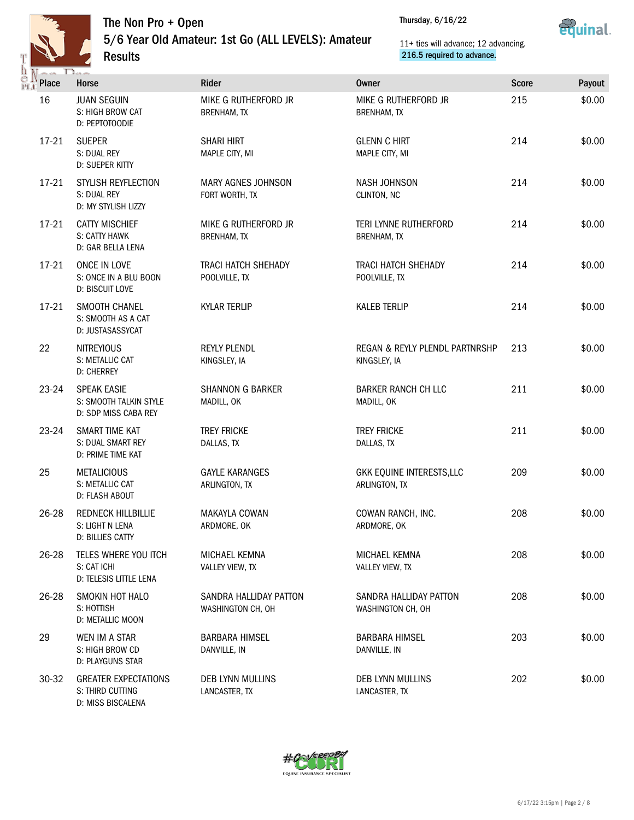

ë |<br>PL



|                               | 5/6 Year Old Amateur: 1st Go (ALL LEVELS): Amateur<br><b>Results</b> |                                             |                                       | 11+ ties will advance; 12 advancing.<br>216.5 required to advance. |              | cyania |  |
|-------------------------------|----------------------------------------------------------------------|---------------------------------------------|---------------------------------------|--------------------------------------------------------------------|--------------|--------|--|
| $\sim$ $\sim$<br><b>Place</b> | $\Box$<br>Horse                                                      | Rider                                       | <b>Owner</b>                          |                                                                    | <b>Score</b> | Payout |  |
| 16                            | <b>JUAN SEGUIN</b><br>S: HIGH BROW CAT<br>D: PEPTOTOODIE             | MIKE G RUTHERFORD JR<br>BRENHAM, TX         | <b>BRENHAM, TX</b>                    | MIKE G RUTHERFORD JR                                               | 215          | \$0.00 |  |
| 17-21                         | <b>SUEPER</b><br>S: DUAL REY<br>D: SUEPER KITTY                      | <b>SHARI HIRT</b><br>MAPLE CITY, MI         | <b>GLENN C HIRT</b><br>MAPLE CITY, MI |                                                                    | 214          | \$0.00 |  |
| $17 - 21$                     | STYLISH REYFLECTION<br>S: DUAL REY<br>D: MY STYLISH LIZZY            | MARY AGNES JOHNSON<br>FORT WORTH, TX        | NASH JOHNSON<br>CLINTON, NC           |                                                                    | 214          | \$0.00 |  |
| $17 - 21$                     | <b>CATTY MISCHIEF</b><br>S: CATTY HAWK<br>D: GAR BELLA LENA          | MIKE G RUTHERFORD JR<br><b>BRENHAM, TX</b>  | <b>BRENHAM, TX</b>                    | TERI LYNNE RUTHERFORD                                              | 214          | \$0.00 |  |
| $17-21$                       | ONCE IN LOVE<br>S: ONCE IN A BLU BOON<br>D: BISCUIT LOVE             | <b>TRACI HATCH SHEHADY</b><br>POOLVILLE, TX | POOLVILLE, TX                         | <b>TRACI HATCH SHEHADY</b>                                         | 214          | \$0.00 |  |
| 17-21                         | SMOOTH CHANEL<br>S: SMOOTH AS A CAT<br>D: JUSTASASSYCAT              | <b>KYLAR TERLIP</b>                         | <b>KALEB TERLIP</b>                   |                                                                    | 214          | \$0.00 |  |
| 22                            | <b>NITREYIOUS</b><br>S: METALLIC CAT<br><b>D: CHERREY</b>            | <b>REYLY PLENDL</b><br>KINGSLEY, IA         | KINGSLEY, IA                          | REGAN & REYLY PLENDL PARTNRSHP                                     | 213          | \$0.00 |  |
| 23-24                         | <b>SPEAK EASIE</b><br>S: SMOOTH TALKIN STYLE<br>D: SDP MISS CABA REY | <b>SHANNON G BARKER</b><br>MADILL, OK       | MADILL, OK                            | <b>BARKER RANCH CH LLC</b>                                         | 211          | \$0.00 |  |
| 23-24                         | SMART TIME KAT<br>S: DUAL SMART REY<br>D: PRIME TIME KAT             | <b>TREY FRICKE</b><br>DALLAS, TX            | <b>TREY FRICKE</b><br>DALLAS, TX      |                                                                    | 211          | \$0.00 |  |
| 25                            | <b>METALICIOUS</b><br>S: METALLIC CAT<br>D: FLASH ABOUT              | <b>GAYLE KARANGES</b><br>ARLINGTON, TX      | ARLINGTON, TX                         | GKK EQUINE INTERESTS, LLC                                          | 209          | \$0.00 |  |
| 26-28                         | REDNECK HILLBILLIE<br>S: LIGHT N LENA<br>D: BILLIES CATTY            | MAKAYLA COWAN<br>ARDMORE, OK                | ARDMORE, OK                           | COWAN RANCH, INC.                                                  | 208          | \$0.00 |  |
| 26-28                         | TELES WHERE YOU ITCH<br>S: CAT ICHI<br>D: TELESIS LITTLE LENA        | MICHAEL KEMNA<br>VALLEY VIEW, TX            | MICHAEL KEMNA<br>VALLEY VIEW, TX      |                                                                    | 208          | \$0.00 |  |
| 26-28                         | SMOKIN HOT HALO<br>S: HOTTISH<br>D: METALLIC MOON                    | SANDRA HALLIDAY PATTON<br>WASHINGTON CH, OH | WASHINGTON CH, OH                     | SANDRA HALLIDAY PATTON                                             | 208          | \$0.00 |  |
| 29                            | WEN IM A STAR<br>S: HIGH BROW CD<br>D: PLAYGUNS STAR                 | <b>BARBARA HIMSEL</b><br>DANVILLE, IN       | <b>BARBARA HIMSEL</b><br>DANVILLE, IN |                                                                    | 203          | \$0.00 |  |
| $30-32$                       | <b>GREATER EXPECTATIONS</b><br>S: THIRD CUTTING<br>D: MISS BISCALENA | DEB LYNN MULLINS<br>LANCASTER, TX           | DEB LYNN MULLINS<br>LANCASTER, TX     |                                                                    | 202          | \$0.00 |  |

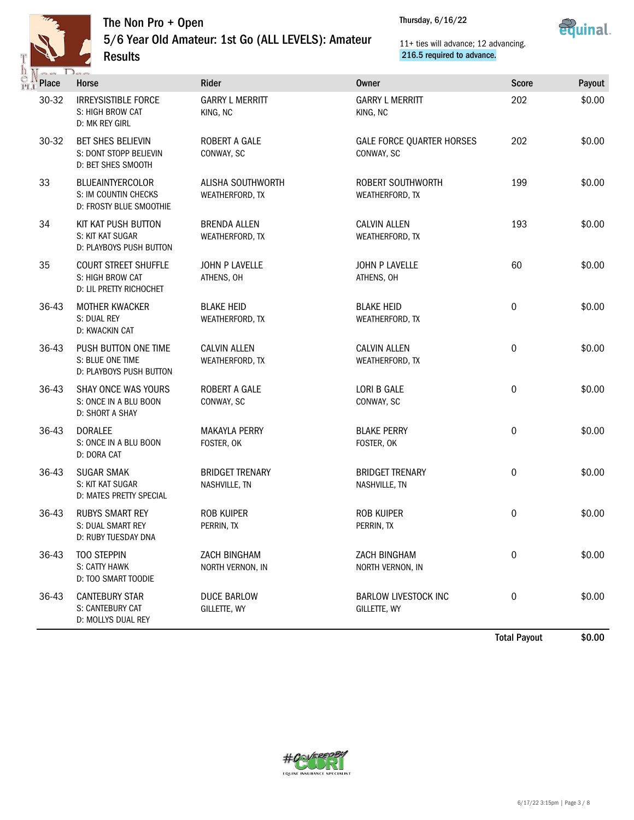

## The Non Pro + Open

5/6 Year Old Amateur: 1st Go (ALL LEVELS): Amateur Results





## 11+ ties will advance; 12 advancing. 216.5 required to advance.

| $\sim$       | $D_{\infty}$                                                               |                                         |                                                |              |        |
|--------------|----------------------------------------------------------------------------|-----------------------------------------|------------------------------------------------|--------------|--------|
| <b>Place</b> | Horse                                                                      | Rider                                   | Owner                                          | <b>Score</b> | Payout |
| 30-32        | <b>IRREYSISTIBLE FORCE</b><br>S: HIGH BROW CAT<br>D: MK REY GIRL           | <b>GARRY L MERRITT</b><br>KING, NC      | <b>GARRY L MERRITT</b><br>KING, NC             | 202          | \$0.00 |
| 30-32        | <b>BET SHES BELIEVIN</b><br>S: DONT STOPP BELIEVIN<br>D: BET SHES SMOOTH   | ROBERT A GALE<br>CONWAY, SC             | <b>GALE FORCE QUARTER HORSES</b><br>CONWAY, SC | 202          | \$0.00 |
| 33           | <b>BLUEAINTYERCOLOR</b><br>S: IM COUNTIN CHECKS<br>D: FROSTY BLUE SMOOTHIE | ALISHA SOUTHWORTH<br>WEATHERFORD, TX    | ROBERT SOUTHWORTH<br>WEATHERFORD, TX           | 199          | \$0.00 |
| 34           | KIT KAT PUSH BUTTON<br>S: KIT KAT SUGAR<br>D: PLAYBOYS PUSH BUTTON         | <b>BRENDA ALLEN</b><br>WEATHERFORD, TX  | <b>CALVIN ALLEN</b><br>WEATHERFORD, TX         | 193          | \$0.00 |
| 35           | <b>COURT STREET SHUFFLE</b><br>S: HIGH BROW CAT<br>D: LIL PRETTY RICHOCHET | <b>JOHN P LAVELLE</b><br>ATHENS, OH     | JOHN P LAVELLE<br>ATHENS, OH                   | 60           | \$0.00 |
| 36-43        | <b>MOTHER KWACKER</b><br>S: DUAL REY<br>D: KWACKIN CAT                     | <b>BLAKE HEID</b><br>WEATHERFORD, TX    | <b>BLAKE HEID</b><br>WEATHERFORD, TX           | $\mathbf 0$  | \$0.00 |
| 36-43        | PUSH BUTTON ONE TIME<br>S: BLUE ONE TIME<br>D: PLAYBOYS PUSH BUTTON        | <b>CALVIN ALLEN</b><br>WEATHERFORD, TX  | <b>CALVIN ALLEN</b><br>WEATHERFORD, TX         | $\mathbf 0$  | \$0.00 |
| 36-43        | SHAY ONCE WAS YOURS<br>S: ONCE IN A BLU BOON<br>D: SHORT A SHAY            | ROBERT A GALE<br>CONWAY, SC             | LORI B GALE<br>CONWAY, SC                      | $\mathbf 0$  | \$0.00 |
| 36-43        | <b>DORALEE</b><br>S: ONCE IN A BLU BOON<br>D: DORA CAT                     | <b>MAKAYLA PERRY</b><br>FOSTER, OK      | <b>BLAKE PERRY</b><br>FOSTER, OK               | $\mathbf 0$  | \$0.00 |
| 36-43        | <b>SUGAR SMAK</b><br>S: KIT KAT SUGAR<br>D: MATES PRETTY SPECIAL           | <b>BRIDGET TRENARY</b><br>NASHVILLE, TN | <b>BRIDGET TRENARY</b><br>NASHVILLE, TN        | 0            | \$0.00 |
| 36-43        | <b>RUBYS SMART REY</b><br>S: DUAL SMART REY<br>D: RUBY TUESDAY DNA         | <b>ROB KUIPER</b><br>PERRIN, TX         | <b>ROB KUIPER</b><br>PERRIN, TX                | 0            | \$0.00 |
| 36-43        | <b>TOO STEPPIN</b><br>S: CATTY HAWK<br>D: TOO SMART TOODIE                 | ZACH BINGHAM<br>NORTH VERNON, IN        | <b>ZACH BINGHAM</b><br>NORTH VERNON, IN        | 0            | \$0.00 |
| 36-43        | <b>CANTEBURY STAR</b><br>S: CANTEBURY CAT<br>D: MOLLYS DUAL REY            | <b>DUCE BARLOW</b><br>GILLETTE, WY      | <b>BARLOW LIVESTOCK INC</b><br>GILLETTE, WY    | 0            | \$0.00 |

Total Payout \$0.00

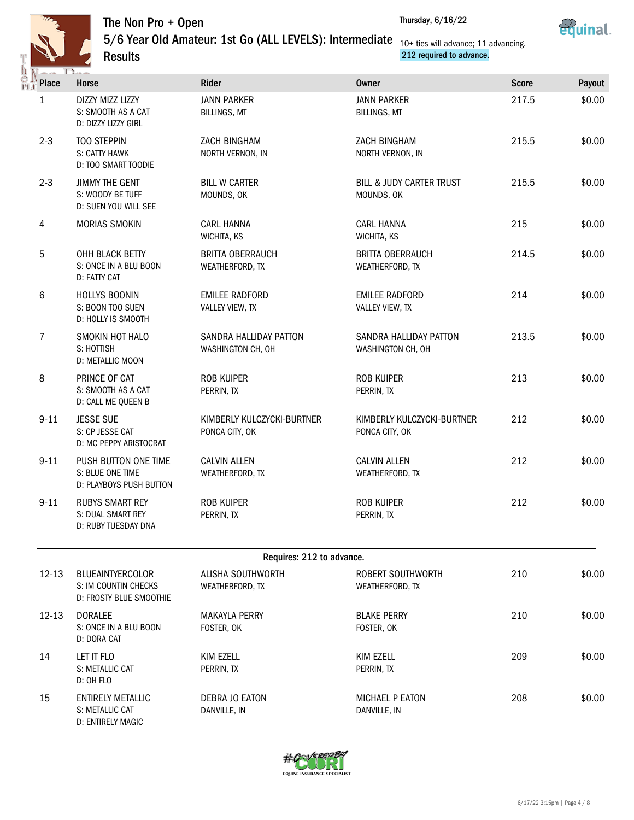

Results



5/6 Year Old Amateur: 1st Go (ALL LEVELS): Intermediate 10+ ties will advance; 11 advancing.



212 required to advance.

| $\sim$ $\sim$ | 12                                                                         |                                              |                                                   |              |        |
|---------------|----------------------------------------------------------------------------|----------------------------------------------|---------------------------------------------------|--------------|--------|
| Place         | Horse                                                                      | Rider                                        | <b>Owner</b>                                      | <b>Score</b> | Payout |
| $\mathbf{1}$  | DIZZY MIZZ LIZZY<br>S: SMOOTH AS A CAT<br>D: DIZZY LIZZY GIRL              | <b>JANN PARKER</b><br><b>BILLINGS, MT</b>    | <b>JANN PARKER</b><br><b>BILLINGS, MT</b>         | 217.5        | \$0.00 |
| $2 - 3$       | <b>TOO STEPPIN</b><br>S: CATTY HAWK<br>D: TOO SMART TOODIE                 | ZACH BINGHAM<br>NORTH VERNON, IN             | ZACH BINGHAM<br>NORTH VERNON, IN                  | 215.5        | \$0.00 |
| $2 - 3$       | <b>JIMMY THE GENT</b><br>S: WOODY BE TUFF<br>D: SUEN YOU WILL SEE          | <b>BILL W CARTER</b><br>MOUNDS, OK           | <b>BILL &amp; JUDY CARTER TRUST</b><br>MOUNDS, OK | 215.5        | \$0.00 |
| 4             | <b>MORIAS SMOKIN</b>                                                       | <b>CARL HANNA</b><br>WICHITA, KS             | <b>CARL HANNA</b><br>WICHITA, KS                  | 215          | \$0.00 |
| 5             | OHH BLACK BETTY<br>S: ONCE IN A BLU BOON<br>D: FATTY CAT                   | <b>BRITTA OBERRAUCH</b><br>WEATHERFORD, TX   | <b>BRITTA OBERRAUCH</b><br>WEATHERFORD, TX        | 214.5        | \$0.00 |
| 6             | HOLLYS BOONIN<br>S: BOON TOO SUEN<br>D: HOLLY IS SMOOTH                    | <b>EMILEE RADFORD</b><br>VALLEY VIEW, TX     | <b>EMILEE RADFORD</b><br>VALLEY VIEW, TX          | 214          | \$0.00 |
| 7             | SMOKIN HOT HALO<br>S: HOTTISH<br>D: METALLIC MOON                          | SANDRA HALLIDAY PATTON<br>WASHINGTON CH, OH  | SANDRA HALLIDAY PATTON<br>WASHINGTON CH, OH       | 213.5        | \$0.00 |
| 8             | PRINCE OF CAT<br>S: SMOOTH AS A CAT<br>D: CALL ME QUEEN B                  | <b>ROB KUIPER</b><br>PERRIN, TX              | <b>ROB KUIPER</b><br>PERRIN, TX                   | 213          | \$0.00 |
| $9 - 11$      | <b>JESSE SUE</b><br>S: CP JESSE CAT<br>D: MC PEPPY ARISTOCRAT              | KIMBERLY KULCZYCKI-BURTNER<br>PONCA CITY, OK | KIMBERLY KULCZYCKI-BURTNER<br>PONCA CITY, OK      | 212          | \$0.00 |
| $9 - 11$      | PUSH BUTTON ONE TIME<br>S: BLUE ONE TIME<br>D: PLAYBOYS PUSH BUTTON        | <b>CALVIN ALLEN</b><br>WEATHERFORD, TX       | <b>CALVIN ALLEN</b><br>WEATHERFORD, TX            | 212          | \$0.00 |
| $9 - 11$      | <b>RUBYS SMART REY</b><br>S: DUAL SMART REY<br>D: RUBY TUESDAY DNA         | <b>ROB KUIPER</b><br>PERRIN, TX              | <b>ROB KUIPER</b><br>PERRIN, TX                   | 212          | \$0.00 |
|               |                                                                            | Requires: 212 to advance.                    |                                                   |              |        |
| $12 - 13$     | <b>BLUEAINTYERCOLOR</b><br>S: IM COUNTIN CHECKS<br>D: FROSTY BLUE SMOOTHIE | ALISHA SOUTHWORTH<br>WEATHERFORD, TX         | ROBERT SOUTHWORTH<br>WEATHERFORD, TX              | 210          | \$0.00 |
| $12 - 13$     | <b>DORALEE</b><br>S: ONCE IN A BLU BOON<br>D: DORA CAT                     | <b>MAKAYLA PERRY</b><br>FOSTER, OK           | <b>BLAKE PERRY</b><br>FOSTER, OK                  | 210          | \$0.00 |
| 14            | LET IT FLO<br>S: METALLIC CAT<br>D: OH FLO                                 | KIM EZELL<br>PERRIN, TX                      | KIM EZELL<br>PERRIN, TX                           | 209          | \$0.00 |
| 15            | ENTIRELY METALLIC                                                          | DEBRA JO EATON                               | MICHAEL P EATON                                   | 208          | \$0.00 |

S: METALLIC CAT D: ENTIRELY MAGIC DANVILLE, IN



DANVILLE, IN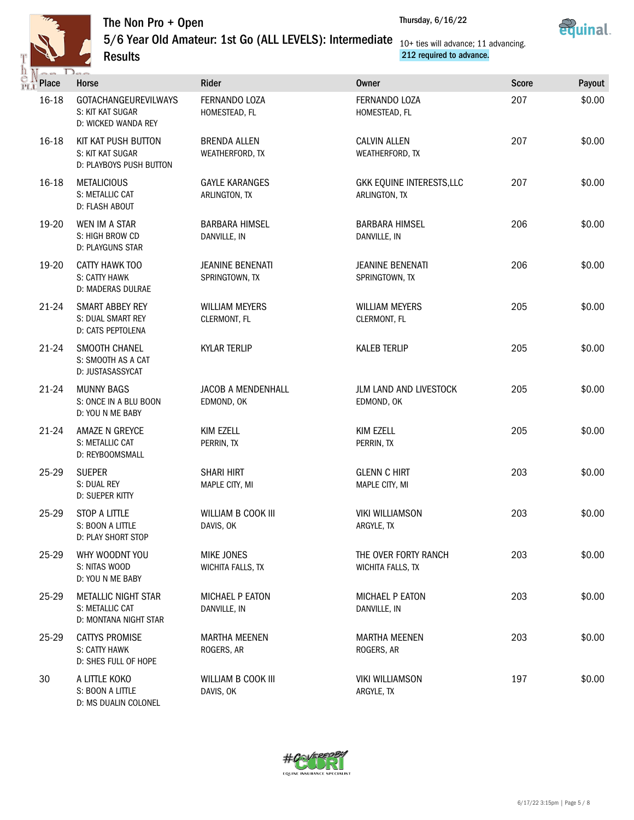

Results



5/6 Year Old Amateur: 1st Go (ALL LEVELS): Intermediate 10+ ties will advance; 11 advancing.



212 required to advance.

| Place     | Horse                                                                  | Rider                                     | Owner                                      | <b>Score</b> | Payout |
|-----------|------------------------------------------------------------------------|-------------------------------------------|--------------------------------------------|--------------|--------|
| 16-18     | GOTACHANGEUREVILWAYS<br>S: KIT KAT SUGAR<br>D: WICKED WANDA REY        | FERNANDO LOZA<br>HOMESTEAD, FL            | FERNANDO LOZA<br>HOMESTEAD, FL             | 207          | \$0.00 |
| 16-18     | KIT KAT PUSH BUTTON<br>S: KIT KAT SUGAR<br>D: PLAYBOYS PUSH BUTTON     | <b>BRENDA ALLEN</b><br>WEATHERFORD, TX    | <b>CALVIN ALLEN</b><br>WEATHERFORD, TX     | 207          | \$0.00 |
| 16-18     | <b>METALICIOUS</b><br>S: METALLIC CAT<br>D: FLASH ABOUT                | <b>GAYLE KARANGES</b><br>ARLINGTON, TX    | GKK EQUINE INTERESTS, LLC<br>ARLINGTON, TX | 207          | \$0.00 |
| 19-20     | WEN IM A STAR<br>S: HIGH BROW CD<br>D: PLAYGUNS STAR                   | <b>BARBARA HIMSEL</b><br>DANVILLE, IN     | <b>BARBARA HIMSEL</b><br>DANVILLE, IN      | 206          | \$0.00 |
| 19-20     | CATTY HAWK TOO<br>S: CATTY HAWK<br>D: MADERAS DULRAE                   | <b>JEANINE BENENATI</b><br>SPRINGTOWN, TX | <b>JEANINE BENENATI</b><br>SPRINGTOWN, TX  | 206          | \$0.00 |
| 21-24     | SMART ABBEY REY<br>S: DUAL SMART REY<br>D: CATS PEPTOLENA              | <b>WILLIAM MEYERS</b><br>CLERMONT, FL     | <b>WILLIAM MEYERS</b><br>CLERMONT, FL      | 205          | \$0.00 |
| 21-24     | SMOOTH CHANEL<br>S: SMOOTH AS A CAT<br>D: JUSTASASSYCAT                | <b>KYLAR TERLIP</b>                       | <b>KALEB TERLIP</b>                        | 205          | \$0.00 |
| $21 - 24$ | <b>MUNNY BAGS</b><br>S: ONCE IN A BLU BOON<br>D: YOU N ME BABY         | JACOB A MENDENHALL<br>EDMOND, OK          | JLM LAND AND LIVESTOCK<br>EDMOND, OK       | 205          | \$0.00 |
| $21 - 24$ | AMAZE N GREYCE<br>S: METALLIC CAT<br>D: REYBOOMSMALL                   | KIM EZELL<br>PERRIN, TX                   | <b>KIM EZELL</b><br>PERRIN, TX             | 205          | \$0.00 |
| 25-29     | <b>SUEPER</b><br>S: DUAL REY<br>D: SUEPER KITTY                        | <b>SHARI HIRT</b><br>MAPLE CITY, MI       | <b>GLENN C HIRT</b><br>MAPLE CITY, MI      | 203          | \$0.00 |
| 25-29     | STOP A LITTLE<br>S: BOON A LITTLE<br>D: PLAY SHORT STOP                | WILLIAM B COOK III<br>DAVIS, OK           | <b>VIKI WILLIAMSON</b><br>ARGYLE, TX       | 203          | \$0.00 |
| 25-29     | WHY WOODNT YOU<br>S: NITAS WOOD<br>D: YOU N ME BABY                    | <b>MIKE JONES</b><br>WICHITA FALLS, TX    | THE OVER FORTY RANCH<br>WICHITA FALLS, TX  | 203          | \$0.00 |
| 25-29     | <b>METALLIC NIGHT STAR</b><br>S: METALLIC CAT<br>D: MONTANA NIGHT STAR | <b>MICHAEL P EATON</b><br>DANVILLE, IN    | <b>MICHAEL P EATON</b><br>DANVILLE, IN     | 203          | \$0.00 |
| 25-29     | <b>CATTYS PROMISE</b><br>S: CATTY HAWK<br>D: SHES FULL OF HOPE         | <b>MARTHA MEENEN</b><br>ROGERS, AR        | <b>MARTHA MEENEN</b><br>ROGERS, AR         | 203          | \$0.00 |
| 30        | A LITTLE KOKO<br>S: BOON A LITTLE<br>D: MS DUALIN COLONEL              | WILLIAM B COOK III<br>DAVIS, OK           | <b>VIKI WILLIAMSON</b><br>ARGYLE, TX       | 197          | \$0.00 |

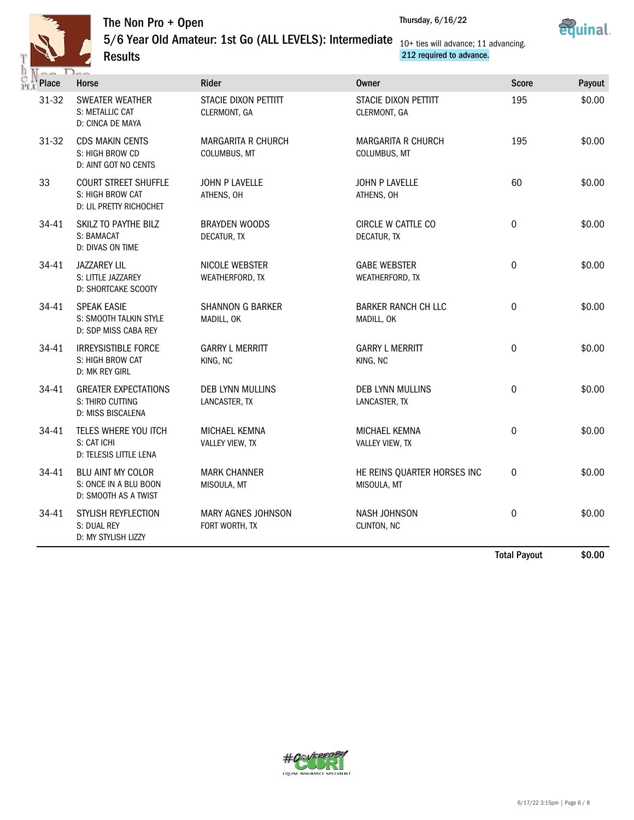

Results



5/6 Year Old Amateur: 1st Go (ALL LEVELS): Intermediate 10+ ties will advance; 11 advancing.



212 required to advance.

| <b>Place</b> | Horse                                                                      | <b>Rider</b>                                | <b>Owner</b>                               | <b>Score</b>        | Payout |
|--------------|----------------------------------------------------------------------------|---------------------------------------------|--------------------------------------------|---------------------|--------|
| 31-32        | <b>SWEATER WEATHER</b><br>S: METALLIC CAT<br>D: CINCA DE MAYA              | STACIE DIXON PETTITT<br>CLERMONT, GA        | STACIE DIXON PETTITT<br>CLERMONT, GA       | 195                 | \$0.00 |
| 31-32        | <b>CDS MAKIN CENTS</b><br>S: HIGH BROW CD<br>D: AINT GOT NO CENTS          | <b>MARGARITA R CHURCH</b><br>COLUMBUS, MT   | <b>MARGARITA R CHURCH</b><br>COLUMBUS, MT  | 195                 | \$0.00 |
| 33           | <b>COURT STREET SHUFFLE</b><br>S: HIGH BROW CAT<br>D: LIL PRETTY RICHOCHET | JOHN P LAVELLE<br>ATHENS, OH                | JOHN P LAVELLE<br>ATHENS, OH               | 60                  | \$0.00 |
| 34-41        | SKILZ TO PAYTHE BILZ<br>S: BAMACAT<br>D: DIVAS ON TIME                     | <b>BRAYDEN WOODS</b><br>DECATUR, TX         | CIRCLE W CATTLE CO<br>DECATUR, TX          | $\mathbf 0$         | \$0.00 |
| 34-41        | <b>JAZZAREY LIL</b><br>S: LITTLE JAZZAREY<br>D: SHORTCAKE SCOOTY           | NICOLE WEBSTER<br>WEATHERFORD, TX           | <b>GABE WEBSTER</b><br>WEATHERFORD, TX     | $\mathbf 0$         | \$0.00 |
| 34-41        | <b>SPEAK EASIE</b><br>S: SMOOTH TALKIN STYLE<br>D: SDP MISS CABA REY       | <b>SHANNON G BARKER</b><br>MADILL, OK       | <b>BARKER RANCH CH LLC</b><br>MADILL, OK   | $\mathbf 0$         | \$0.00 |
| 34-41        | <b>IRREYSISTIBLE FORCE</b><br>S: HIGH BROW CAT<br>D: MK REY GIRL           | <b>GARRY L MERRITT</b><br>KING, NC          | <b>GARRY L MERRITT</b><br>KING, NC         | $\mathbf 0$         | \$0.00 |
| 34-41        | <b>GREATER EXPECTATIONS</b><br>S: THIRD CUTTING<br>D: MISS BISCALENA       | <b>DEB LYNN MULLINS</b><br>LANCASTER, TX    | <b>DEB LYNN MULLINS</b><br>LANCASTER, TX   | $\mathbf 0$         | \$0.00 |
| 34-41        | TELES WHERE YOU ITCH<br>S: CAT ICHI<br>D: TELESIS LITTLE LENA              | MICHAEL KEMNA<br><b>VALLEY VIEW, TX</b>     | MICHAEL KEMNA<br><b>VALLEY VIEW, TX</b>    | $\mathbf 0$         | \$0.00 |
| 34-41        | <b>BLU AINT MY COLOR</b><br>S: ONCE IN A BLU BOON<br>D: SMOOTH AS A TWIST  | <b>MARK CHANNER</b><br>MISOULA, MT          | HE REINS QUARTER HORSES INC<br>MISOULA, MT | $\mathbf 0$         | \$0.00 |
| 34-41        | STYLISH REYFLECTION<br>S: DUAL REY<br>D: MY STYLISH LIZZY                  | <b>MARY AGNES JOHNSON</b><br>FORT WORTH, TX | <b>NASH JOHNSON</b><br>CLINTON, NC         | $\mathbf 0$         | \$0.00 |
|              |                                                                            |                                             |                                            | <b>Total Payout</b> | \$0.00 |

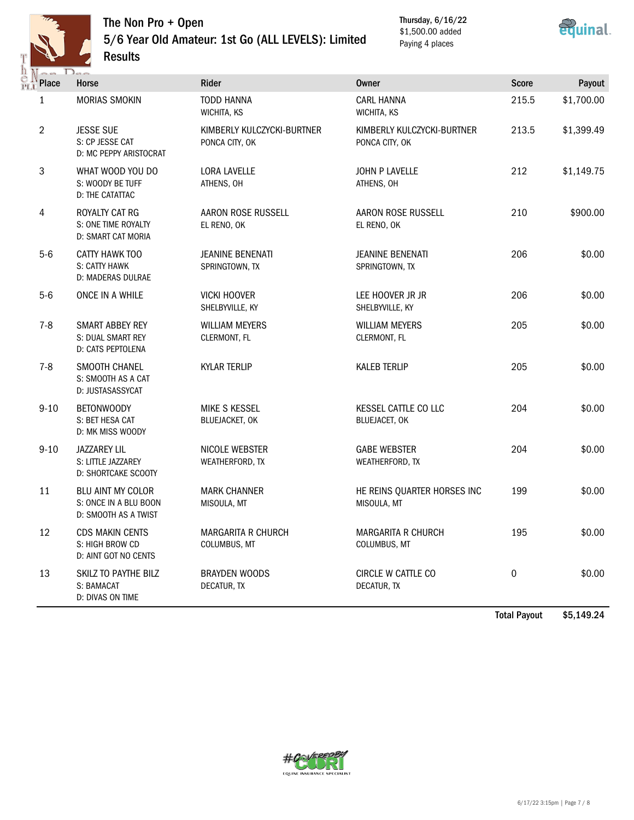

## The Non Pro + Open 5/6 Year Old Amateur: 1st Go (ALL LEVELS): Limited Results

Thursday, 6/16/22 \$1,500.00 added Paying 4 places



| $-1$<br><b>Place</b> | $D_{max}$<br>Horse                                                        | Rider                                        | <b>Owner</b>                                 | <b>Score</b> | Payout     |
|----------------------|---------------------------------------------------------------------------|----------------------------------------------|----------------------------------------------|--------------|------------|
| 1                    | <b>MORIAS SMOKIN</b>                                                      | <b>TODD HANNA</b><br>WICHITA, KS             | <b>CARL HANNA</b><br>WICHITA, KS             | 215.5        | \$1,700.00 |
| $\overline{2}$       | <b>JESSE SUE</b><br>S: CP JESSE CAT<br>D: MC PEPPY ARISTOCRAT             | KIMBERLY KULCZYCKI-BURTNER<br>PONCA CITY, OK | KIMBERLY KULCZYCKI-BURTNER<br>PONCA CITY, OK | 213.5        | \$1,399.49 |
| 3                    | WHAT WOOD YOU DO<br>S: WOODY BE TUFF<br>D: THE CATATTAC                   | <b>LORA LAVELLE</b><br>ATHENS, OH            | JOHN P LAVELLE<br>ATHENS, OH                 | 212          | \$1,149.75 |
| 4                    | ROYALTY CAT RG<br>S: ONE TIME ROYALTY<br>D: SMART CAT MORIA               | AARON ROSE RUSSELL<br>EL RENO, OK            | AARON ROSE RUSSELL<br>EL RENO, OK            | 210          | \$900.00   |
| $5-6$                | CATTY HAWK TOO<br>S: CATTY HAWK<br>D: MADERAS DULRAE                      | <b>JEANINE BENENATI</b><br>SPRINGTOWN, TX    | <b>JEANINE BENENATI</b><br>SPRINGTOWN, TX    | 206          | \$0.00     |
| $5-6$                | ONCE IN A WHILE                                                           | <b>VICKI HOOVER</b><br>SHELBYVILLE, KY       | LEE HOOVER JR JR<br>SHELBYVILLE, KY          | 206          | \$0.00     |
| $7 - 8$              | <b>SMART ABBEY REY</b><br>S: DUAL SMART REY<br>D: CATS PEPTOLENA          | <b>WILLIAM MEYERS</b><br>CLERMONT, FL        | <b>WILLIAM MEYERS</b><br>CLERMONT, FL        | 205          | \$0.00     |
| $7 - 8$              | SMOOTH CHANEL<br>S: SMOOTH AS A CAT<br>D: JUSTASASSYCAT                   | <b>KYLAR TERLIP</b>                          | <b>KALEB TERLIP</b>                          | 205          | \$0.00     |
| $9 - 10$             | BETONWOODY<br>S: BET HESA CAT<br>D: MK MISS WOODY                         | MIKE S KESSEL<br><b>BLUEJACKET, OK</b>       | KESSEL CATTLE CO LLC<br>BLUEJACET, OK        | 204          | \$0.00     |
| $9 - 10$             | <b>JAZZAREY LIL</b><br>S: LITTLE JAZZAREY<br>D: SHORTCAKE SCOOTY          | NICOLE WEBSTER<br>WEATHERFORD, TX            | <b>GABE WEBSTER</b><br>WEATHERFORD, TX       | 204          | \$0.00     |
| 11                   | <b>BLU AINT MY COLOR</b><br>S: ONCE IN A BLU BOON<br>D: SMOOTH AS A TWIST | <b>MARK CHANNER</b><br>MISOULA, MT           | HE REINS QUARTER HORSES INC<br>MISOULA, MT   | 199          | \$0.00     |
| 12                   | <b>CDS MAKIN CENTS</b><br>S: HIGH BROW CD<br>D: AINT GOT NO CENTS         | MARGARITA R CHURCH<br>COLUMBUS, MT           | MARGARITA R CHURCH<br>COLUMBUS, MT           | 195          | \$0.00     |
| 13                   | SKILZ TO PAYTHE BILZ<br>S: BAMACAT<br>D: DIVAS ON TIME                    | <b>BRAYDEN WOODS</b><br>DECATUR, TX          | CIRCLE W CATTLE CO<br>DECATUR, TX            | $\pmb{0}$    | \$0.00     |

Total Payout \$5,149.24